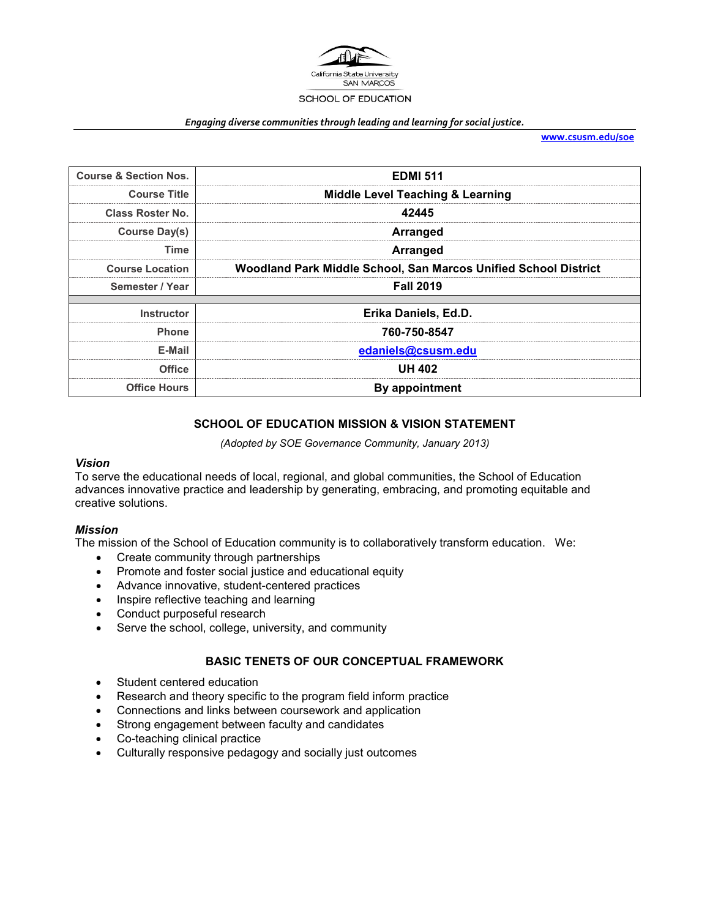

#### *Engaging diverse communities through leading and learning for social justice.*

**[www.csusm.edu/soe](http://www.csusm.edu/soe)**

| <b>Course &amp; Section Nos.</b> | <b>EDMI 511</b>                                                 |  |  |
|----------------------------------|-----------------------------------------------------------------|--|--|
| <b>Course Title</b>              | <b>Middle Level Teaching &amp; Learning</b>                     |  |  |
| <b>Class Roster No.</b>          | 42445                                                           |  |  |
| Course Day(s)                    | <b>Arranged</b>                                                 |  |  |
| Time                             | <b>Arranged</b>                                                 |  |  |
| <b>Course Location</b>           | Woodland Park Middle School, San Marcos Unified School District |  |  |
| Semester / Year                  | <b>Fall 2019</b>                                                |  |  |
|                                  |                                                                 |  |  |
| <b>Instructor</b>                | Erika Daniels, Ed.D.                                            |  |  |
| <b>Phone</b>                     | 760-750-8547                                                    |  |  |
| E-Mail                           | edaniels@csusm.edu                                              |  |  |
| <b>Office</b>                    | <b>UH 402</b>                                                   |  |  |
| <b>Office Hours</b>              | By appointment                                                  |  |  |

## **SCHOOL OF EDUCATION MISSION & VISION STATEMENT**

*(Adopted by SOE Governance Community, January 2013)*

#### *Vision*

To serve the educational needs of local, regional, and global communities, the School of Education advances innovative practice and leadership by generating, embracing, and promoting equitable and creative solutions.

#### *Mission*

The mission of the School of Education community is to collaboratively transform education. We:

- Create community through partnerships
- Promote and foster social justice and educational equity
- Advance innovative, student-centered practices
- Inspire reflective teaching and learning
- Conduct purposeful research
- Serve the school, college, university, and community

#### **BASIC TENETS OF OUR CONCEPTUAL FRAMEWORK**

- Student centered education
- Research and theory specific to the program field inform practice
- Connections and links between coursework and application
- Strong engagement between faculty and candidates
- Co-teaching clinical practice
- Culturally responsive pedagogy and socially just outcomes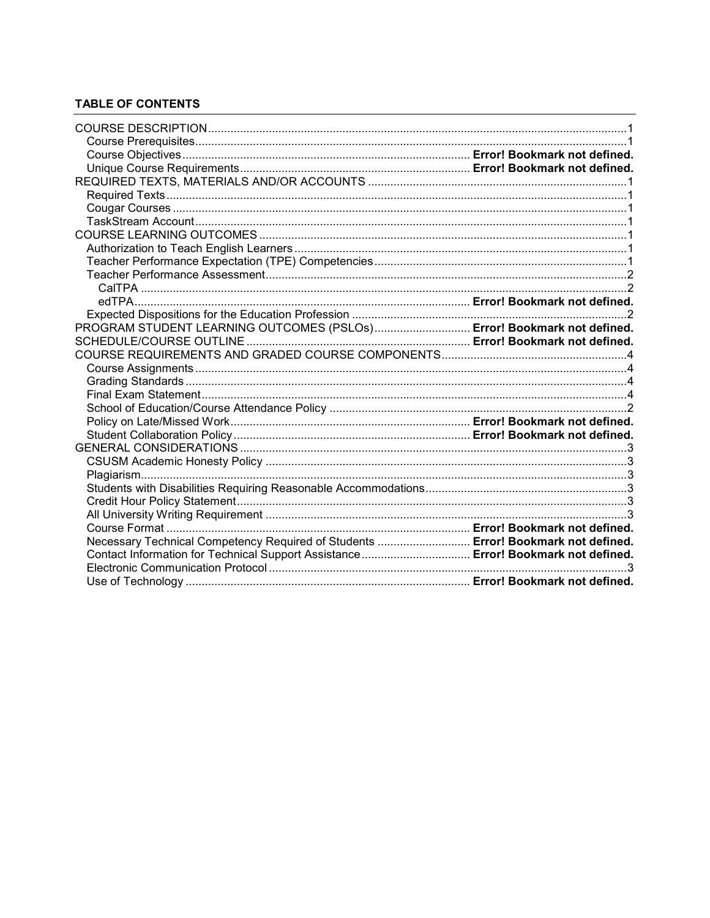# **TABLE OF CONTENTS**

| PROGRAM STUDENT LEARNING OUTCOMES (PSLOs) Error! Bookmark not defined.            |  |
|-----------------------------------------------------------------------------------|--|
|                                                                                   |  |
|                                                                                   |  |
|                                                                                   |  |
|                                                                                   |  |
|                                                                                   |  |
|                                                                                   |  |
|                                                                                   |  |
|                                                                                   |  |
|                                                                                   |  |
|                                                                                   |  |
|                                                                                   |  |
|                                                                                   |  |
|                                                                                   |  |
|                                                                                   |  |
|                                                                                   |  |
| Necessary Technical Competency Required of Students  Error! Bookmark not defined. |  |
| Contact Information for Technical Support Assistance Error! Bookmark not defined. |  |
|                                                                                   |  |
|                                                                                   |  |
|                                                                                   |  |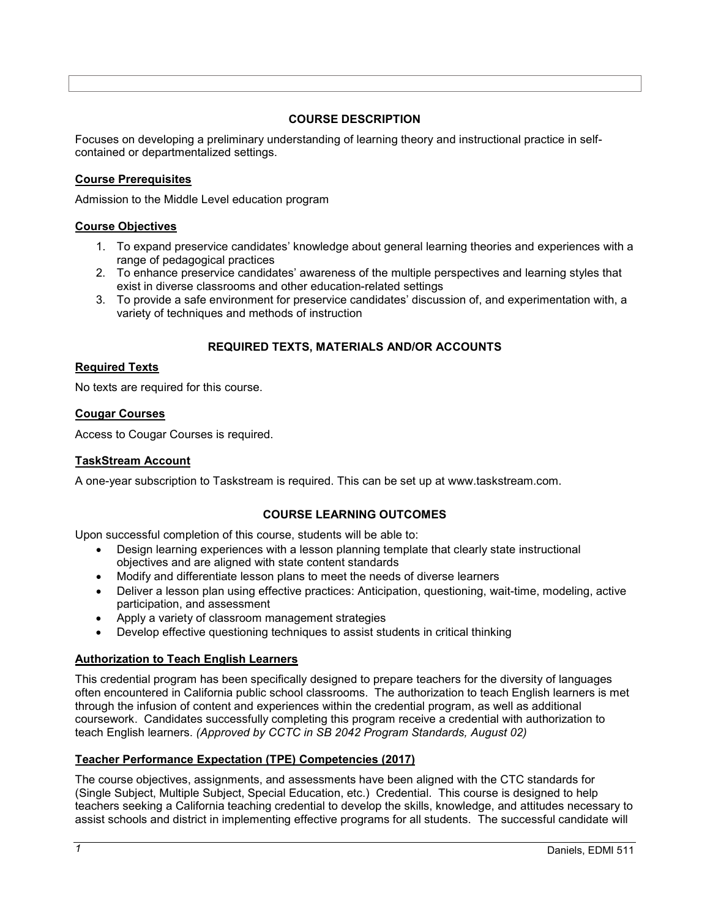## **COURSE DESCRIPTION**

<span id="page-2-0"></span>Focuses on developing a preliminary understanding of learning theory and instructional practice in selfcontained or departmentalized settings.

### <span id="page-2-1"></span>**Course Prerequisites**

Admission to the Middle Level education program

### **Course Objectives**

- 1. To expand preservice candidates' knowledge about general learning theories and experiences with a range of pedagogical practices
- 2. To enhance preservice candidates' awareness of the multiple perspectives and learning styles that exist in diverse classrooms and other education-related settings
- 3. To provide a safe environment for preservice candidates' discussion of, and experimentation with, a variety of techniques and methods of instruction

## **REQUIRED TEXTS, MATERIALS AND/OR ACCOUNTS**

### <span id="page-2-3"></span><span id="page-2-2"></span>**Required Texts**

No texts are required for this course.

### <span id="page-2-4"></span>**Cougar Courses**

Access to Cougar Courses is required.

#### <span id="page-2-5"></span>**TaskStream Account**

<span id="page-2-6"></span>A one-year subscription to Taskstream is required. This can be set up at www.taskstream.com.

## **COURSE LEARNING OUTCOMES**

Upon successful completion of this course, students will be able to:

- Design learning experiences with a lesson planning template that clearly state instructional objectives and are aligned with state content standards
- Modify and differentiate lesson plans to meet the needs of diverse learners
- Deliver a lesson plan using effective practices: Anticipation, questioning, wait-time, modeling, active participation, and assessment
- Apply a variety of classroom management strategies
- Develop effective questioning techniques to assist students in critical thinking

## <span id="page-2-7"></span>**Authorization to Teach English Learners**

This credential program has been specifically designed to prepare teachers for the diversity of languages often encountered in California public school classrooms. The authorization to teach English learners is met through the infusion of content and experiences within the credential program, as well as additional coursework. Candidates successfully completing this program receive a credential with authorization to teach English learners. *(Approved by CCTC in SB 2042 Program Standards, August 02)*

## <span id="page-2-8"></span>**Teacher Performance Expectation (TPE) Competencies (2017)**

The course objectives, assignments, and assessments have been aligned with the CTC standards for (Single Subject, Multiple Subject, Special Education, etc.) Credential. This course is designed to help teachers seeking a California teaching credential to develop the skills, knowledge, and attitudes necessary to assist schools and district in implementing effective programs for all students. The successful candidate will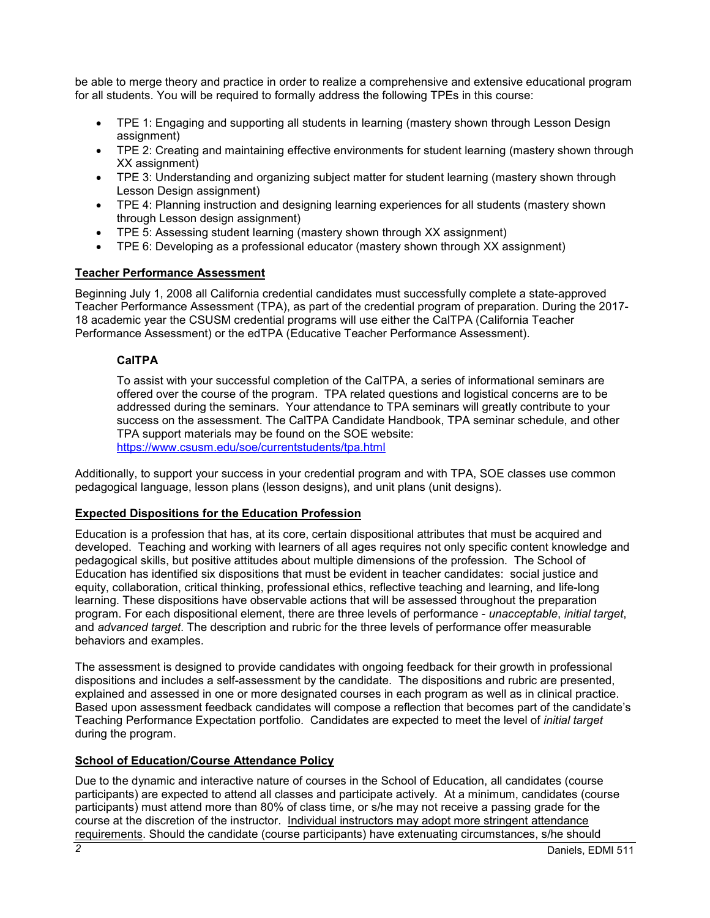be able to merge theory and practice in order to realize a comprehensive and extensive educational program for all students. You will be required to formally address the following TPEs in this course:

- TPE 1: Engaging and supporting all students in learning (mastery shown through Lesson Design assignment)
- TPE 2: Creating and maintaining effective environments for student learning (mastery shown through XX assignment)
- TPE 3: Understanding and organizing subject matter for student learning (mastery shown through Lesson Design assignment)
- TPE 4: Planning instruction and designing learning experiences for all students (mastery shown through Lesson design assignment)
- TPE 5: Assessing student learning (mastery shown through XX assignment)
- TPE 6: Developing as a professional educator (mastery shown through XX assignment)

### <span id="page-3-0"></span>**Teacher Performance Assessment**

Beginning July 1, 2008 all California credential candidates must successfully complete a state-approved Teacher Performance Assessment (TPA), as part of the credential program of preparation. During the 2017- 18 academic year the CSUSM credential programs will use either the CalTPA (California Teacher Performance Assessment) or the edTPA (Educative Teacher Performance Assessment).

### <span id="page-3-1"></span>**CalTPA**

To assist with your successful completion of the CalTPA, a series of informational seminars are offered over the course of the program. TPA related questions and logistical concerns are to be addressed during the seminars. Your attendance to TPA seminars will greatly contribute to your success on the assessment. The CalTPA Candidate Handbook, TPA seminar schedule, and other TPA support materials may be found on the SOE website: <https://www.csusm.edu/soe/currentstudents/tpa.html>

Additionally, to support your success in your credential program and with TPA, SOE classes use common pedagogical language, lesson plans (lesson designs), and unit plans (unit designs).

## <span id="page-3-2"></span>**Expected Dispositions for the Education Profession**

Education is a profession that has, at its core, certain dispositional attributes that must be acquired and developed. Teaching and working with learners of all ages requires not only specific content knowledge and pedagogical skills, but positive attitudes about multiple dimensions of the profession. The School of Education has identified six dispositions that must be evident in teacher candidates: social justice and equity, collaboration, critical thinking, professional ethics, reflective teaching and learning, and life-long learning. These dispositions have observable actions that will be assessed throughout the preparation program. For each dispositional element, there are three levels of performance - *unacceptable*, *initial target*, and *advanced target*. The description and rubric for the three levels of performance offer measurable behaviors and examples.

The assessment is designed to provide candidates with ongoing feedback for their growth in professional dispositions and includes a self-assessment by the candidate. The dispositions and rubric are presented, explained and assessed in one or more designated courses in each program as well as in clinical practice. Based upon assessment feedback candidates will compose a reflection that becomes part of the candidate's Teaching Performance Expectation portfolio. Candidates are expected to meet the level of *initial target* during the program.

#### <span id="page-3-3"></span>**School of Education/Course Attendance Policy**

Due to the dynamic and interactive nature of courses in the School of Education, all candidates (course participants) are expected to attend all classes and participate actively. At a minimum, candidates (course participants) must attend more than 80% of class time, or s/he may not receive a passing grade for the course at the discretion of the instructor. Individual instructors may adopt more stringent attendance requirements. Should the candidate (course participants) have extenuating circumstances, s/he should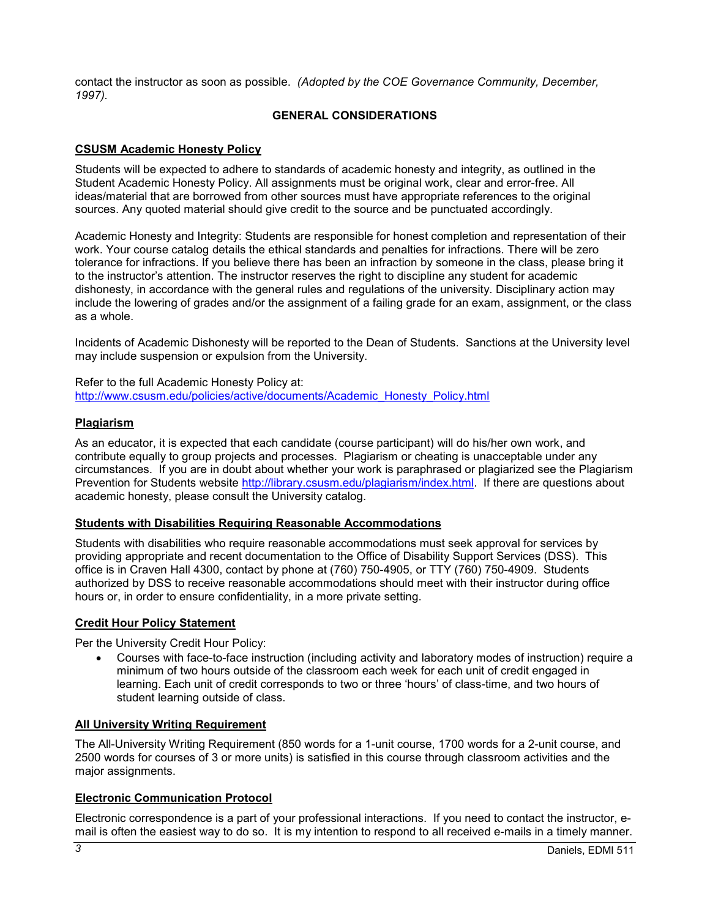<span id="page-4-0"></span>contact the instructor as soon as possible. *(Adopted by the COE Governance Community, December, 1997).*

### **GENERAL CONSIDERATIONS**

### <span id="page-4-1"></span>**CSUSM Academic Honesty Policy**

Students will be expected to adhere to standards of academic honesty and integrity, as outlined in the Student Academic Honesty Policy. All assignments must be original work, clear and error-free. All ideas/material that are borrowed from other sources must have appropriate references to the original sources. Any quoted material should give credit to the source and be punctuated accordingly.

Academic Honesty and Integrity: Students are responsible for honest completion and representation of their work. Your course catalog details the ethical standards and penalties for infractions. There will be zero tolerance for infractions. If you believe there has been an infraction by someone in the class, please bring it to the instructor's attention. The instructor reserves the right to discipline any student for academic dishonesty, in accordance with the general rules and regulations of the university. Disciplinary action may include the lowering of grades and/or the assignment of a failing grade for an exam, assignment, or the class as a whole.

Incidents of Academic Dishonesty will be reported to the Dean of Students. Sanctions at the University level may include suspension or expulsion from the University.

Refer to the full Academic Honesty Policy at: [http://www.csusm.edu/policies/active/documents/Academic\\_Honesty\\_Policy.html](http://www.csusm.edu/policies/active/documents/Academic_Honesty_Policy.html)

#### <span id="page-4-2"></span>**Plagiarism**

As an educator, it is expected that each candidate (course participant) will do his/her own work, and contribute equally to group projects and processes. Plagiarism or cheating is unacceptable under any circumstances. If you are in doubt about whether your work is paraphrased or plagiarized see the Plagiarism Prevention for Students website [http://library.csusm.edu/plagiarism/index.html.](http://library.csusm.edu/plagiarism/index.html) If there are questions about academic honesty, please consult the University catalog.

#### <span id="page-4-3"></span>**Students with Disabilities Requiring Reasonable Accommodations**

Students with disabilities who require reasonable accommodations must seek approval for services by providing appropriate and recent documentation to the Office of Disability Support Services (DSS). This office is in Craven Hall 4300, contact by phone at (760) 750-4905, or TTY (760) 750-4909. Students authorized by DSS to receive reasonable accommodations should meet with their instructor during office hours or, in order to ensure confidentiality, in a more private setting.

### <span id="page-4-4"></span>**Credit Hour Policy Statement**

Per the University Credit Hour Policy:

• Courses with face-to-face instruction (including activity and laboratory modes of instruction) require a minimum of two hours outside of the classroom each week for each unit of credit engaged in learning. Each unit of credit corresponds to two or three 'hours' of class-time, and two hours of student learning outside of class.

#### <span id="page-4-5"></span>**All University Writing Requirement**

The All-University Writing Requirement (850 words for a 1-unit course, 1700 words for a 2-unit course, and 2500 words for courses of 3 or more units) is satisfied in this course through classroom activities and the major assignments.

## <span id="page-4-6"></span>**Electronic Communication Protocol**

Electronic correspondence is a part of your professional interactions. If you need to contact the instructor, email is often the easiest way to do so. It is my intention to respond to all received e-mails in a timely manner.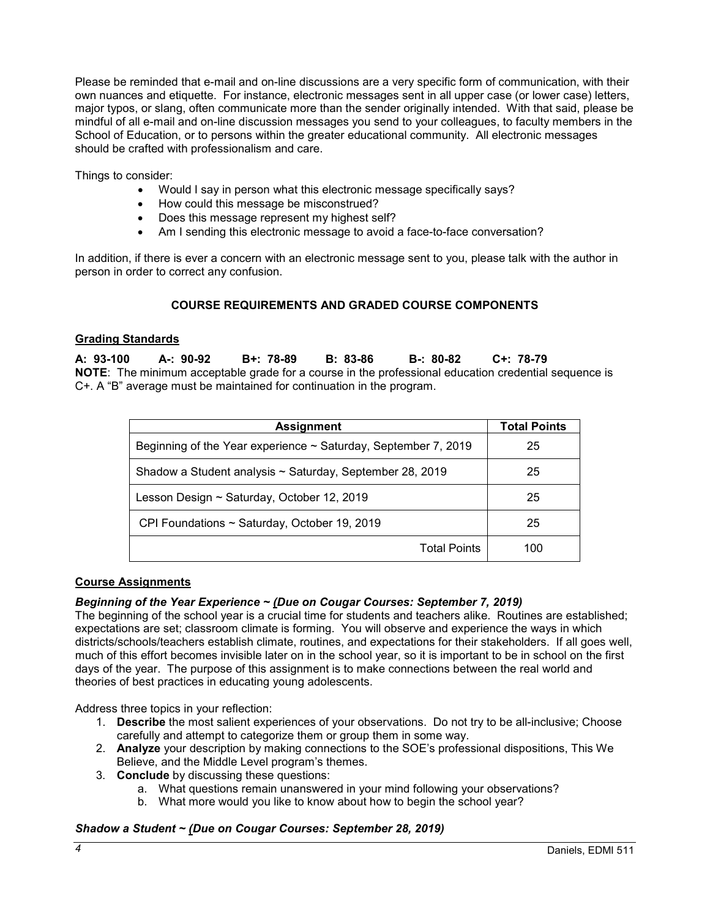Please be reminded that e-mail and on-line discussions are a very specific form of communication, with their own nuances and etiquette. For instance, electronic messages sent in all upper case (or lower case) letters, major typos, or slang, often communicate more than the sender originally intended. With that said, please be mindful of all e-mail and on-line discussion messages you send to your colleagues, to faculty members in the School of Education, or to persons within the greater educational community. All electronic messages should be crafted with professionalism and care.

Things to consider:

- Would I say in person what this electronic message specifically says?
- How could this message be misconstrued?
- Does this message represent my highest self?
- Am I sending this electronic message to avoid a face-to-face conversation?

<span id="page-5-0"></span>In addition, if there is ever a concern with an electronic message sent to you, please talk with the author in person in order to correct any confusion.

## **COURSE REQUIREMENTS AND GRADED COURSE COMPONENTS**

### <span id="page-5-2"></span>**Grading Standards**

**A: 93-100 A-: 90-92 B+: 78-89 B: 83-86 B-: 80-82 C+: 78-79 NOTE**: The minimum acceptable grade for a course in the professional education credential sequence is C+. A "B" average must be maintained for continuation in the program.

| <b>Assignment</b>                                                   | <b>Total Points</b> |
|---------------------------------------------------------------------|---------------------|
| Beginning of the Year experience $\sim$ Saturday, September 7, 2019 | 25                  |
| Shadow a Student analysis ~ Saturday, September 28, 2019            | 25                  |
| Lesson Design ~ Saturday, October 12, 2019                          | 25                  |
| CPI Foundations ~ Saturday, October 19, 2019                        | 25                  |
| <b>Total Points</b>                                                 | 100                 |

#### <span id="page-5-1"></span>**Course Assignments**

#### *Beginning of the Year Experience ~ (Due on Cougar Courses: September 7, 2019)*

The beginning of the school year is a crucial time for students and teachers alike. Routines are established; expectations are set; classroom climate is forming. You will observe and experience the ways in which districts/schools/teachers establish climate, routines, and expectations for their stakeholders. If all goes well, much of this effort becomes invisible later on in the school year, so it is important to be in school on the first days of the year. The purpose of this assignment is to make connections between the real world and theories of best practices in educating young adolescents.

Address three topics in your reflection:

- 1. **Describe** the most salient experiences of your observations. Do not try to be all-inclusive; Choose carefully and attempt to categorize them or group them in some way.
- 2. **Analyze** your description by making connections to the SOE's professional dispositions, This We Believe, and the Middle Level program's themes.
- 3. **Conclude** by discussing these questions:
	- a. What questions remain unanswered in your mind following your observations?
	- b. What more would you like to know about how to begin the school year?

## *Shadow a Student ~ (Due on Cougar Courses: September 28, 2019)*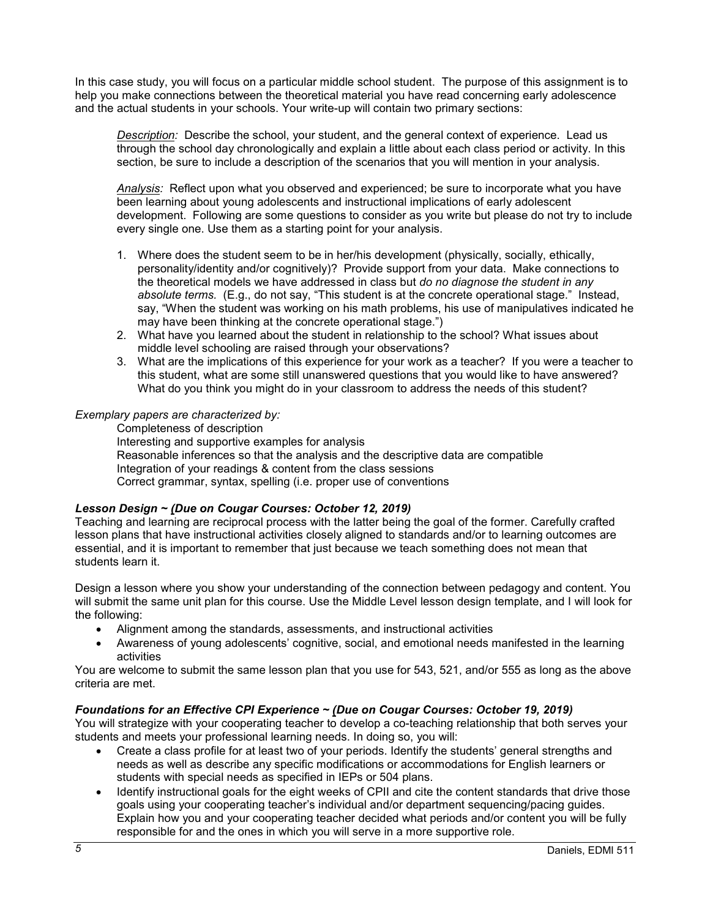In this case study, you will focus on a particular middle school student. The purpose of this assignment is to help you make connections between the theoretical material you have read concerning early adolescence and the actual students in your schools. Your write-up will contain two primary sections:

*Description:* Describe the school, your student, and the general context of experience. Lead us through the school day chronologically and explain a little about each class period or activity. In this section, be sure to include a description of the scenarios that you will mention in your analysis.

*Analysis:* Reflect upon what you observed and experienced; be sure to incorporate what you have been learning about young adolescents and instructional implications of early adolescent development. Following are some questions to consider as you write but please do not try to include every single one. Use them as a starting point for your analysis.

- 1. Where does the student seem to be in her/his development (physically, socially, ethically, personality/identity and/or cognitively)? Provide support from your data. Make connections to the theoretical models we have addressed in class but *do no diagnose the student in any absolute terms.* (E.g., do not say, "This student is at the concrete operational stage." Instead, say, "When the student was working on his math problems, his use of manipulatives indicated he may have been thinking at the concrete operational stage.")
- 2. What have you learned about the student in relationship to the school? What issues about middle level schooling are raised through your observations?
- 3. What are the implications of this experience for your work as a teacher? If you were a teacher to this student, what are some still unanswered questions that you would like to have answered? What do you think you might do in your classroom to address the needs of this student?

### *Exemplary papers are characterized by:*

Completeness of description Interesting and supportive examples for analysis Reasonable inferences so that the analysis and the descriptive data are compatible Integration of your readings & content from the class sessions Correct grammar, syntax, spelling (i.e. proper use of conventions

## *Lesson Design ~ (Due on Cougar Courses: October 12, 2019)*

Teaching and learning are reciprocal process with the latter being the goal of the former. Carefully crafted lesson plans that have instructional activities closely aligned to standards and/or to learning outcomes are essential, and it is important to remember that just because we teach something does not mean that students learn it.

Design a lesson where you show your understanding of the connection between pedagogy and content. You will submit the same unit plan for this course. Use the Middle Level lesson design template, and I will look for the following:

- Alignment among the standards, assessments, and instructional activities
- Awareness of young adolescents' cognitive, social, and emotional needs manifested in the learning activities

You are welcome to submit the same lesson plan that you use for 543, 521, and/or 555 as long as the above criteria are met.

## *Foundations for an Effective CPI Experience ~ (Due on Cougar Courses: October 19, 2019)*

You will strategize with your cooperating teacher to develop a co-teaching relationship that both serves your students and meets your professional learning needs. In doing so, you will:

- Create a class profile for at least two of your periods. Identify the students' general strengths and needs as well as describe any specific modifications or accommodations for English learners or students with special needs as specified in IEPs or 504 plans.
- Identify instructional goals for the eight weeks of CPII and cite the content standards that drive those goals using your cooperating teacher's individual and/or department sequencing/pacing guides. Explain how you and your cooperating teacher decided what periods and/or content you will be fully responsible for and the ones in which you will serve in a more supportive role.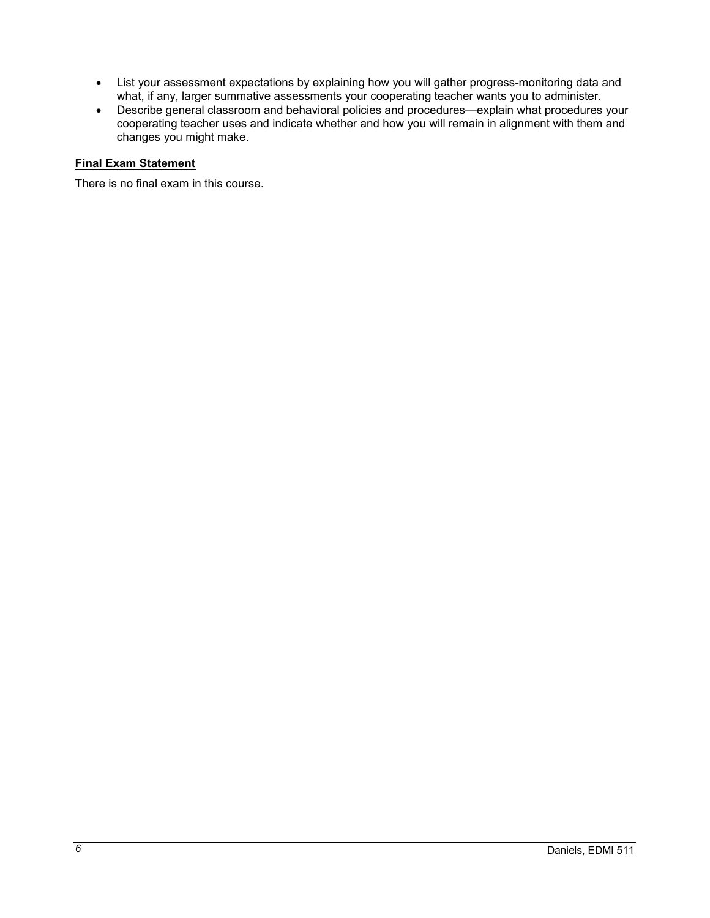- List your assessment expectations by explaining how you will gather progress-monitoring data and what, if any, larger summative assessments your cooperating teacher wants you to administer.
- Describe general classroom and behavioral policies and procedures—explain what procedures your cooperating teacher uses and indicate whether and how you will remain in alignment with them and changes you might make.

### **Final Exam Statement**

There is no final exam in this course.